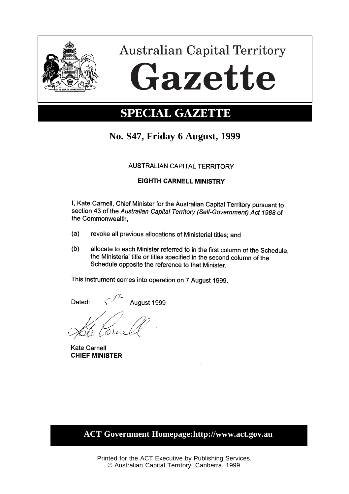

# **Australian Capital Territory** Gazette

## **SPECIAL GAZETTE**

### **No. S47, Friday 6 August, 1999**

#### **AUSTRALIAN CAPITAL TERRITORY**

#### **EIGHTH CARNELL MINISTRY**

I, Kate Carnell, Chief Minister for the Australian Capital Territory pursuant to section 43 of the Australian Capital Territory (Self-Government) Act 1988 of the Commonwealth.

- $(a)$ revoke all previous allocations of Ministerial titles; and
- $(b)$ allocate to each Minister referred to in the first column of the Schedule, the Ministerial title or titles specified in the second column of the Schedule opposite the reference to that Minister.

This instrument comes into operation on 7 August 1999.

August 1999 Dated:

**Kate Carnell CHIEF MINISTER** 

**ACT Government Homepage:http://www.act.gov.au**

Printed for the ACT Executive by Publishing Services. © Australian Capital Territory, Canberra, 1999.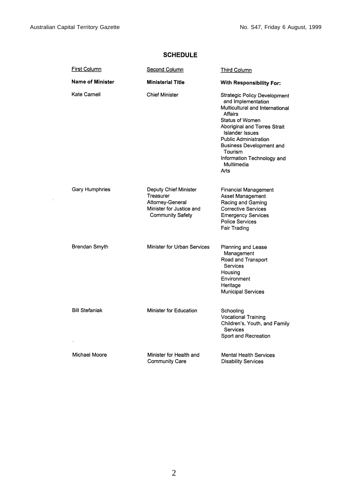| <b>First Column</b>     | Second Column                                                                                                 | <b>Third Column</b>                                                                                                                                                                                                                                                                                      |
|-------------------------|---------------------------------------------------------------------------------------------------------------|----------------------------------------------------------------------------------------------------------------------------------------------------------------------------------------------------------------------------------------------------------------------------------------------------------|
| <b>Name of Minister</b> | <b>Ministerial Title</b>                                                                                      | With Responsibility For:                                                                                                                                                                                                                                                                                 |
| Kate Carnell            | <b>Chief Minister</b>                                                                                         | <b>Strategic Policy Development</b><br>and Implementation<br>Multicultural and International<br>Affairs<br>Status of Women<br>Aboriginal and Torres Strait<br><b>Islander Issues</b><br>Public Administration<br>Business Development and<br>Tourism<br>Information Technology and<br>Multimedia<br>Arts |
| Gary Humphries          | Deputy Chief Minister<br>Treasurer<br>Attorney-General<br>Minister for Justice and<br><b>Community Safety</b> | <b>Financial Management</b><br>Asset Management<br>Racing and Gaming<br><b>Corrective Services</b><br><b>Emergency Services</b><br><b>Police Services</b><br>Fair Trading                                                                                                                                |
| Brendan Smyth           | Minister for Urban Services                                                                                   | Planning and Lease<br>Management<br>Road and Transport<br>Services<br>Housing<br>Environment<br>Heritage<br><b>Municipal Services</b>                                                                                                                                                                    |
| <b>Bill Stefaniak</b>   | Minister for Education                                                                                        | Schooling<br><b>Vocational Training</b><br>Children's, Youth, and Family<br><b>Services</b><br>Sport and Recreation                                                                                                                                                                                      |
| Michael Moore           | Minister for Health and<br><b>Community Care</b>                                                              | Mental Health Services<br><b>Disability Services</b>                                                                                                                                                                                                                                                     |

#### **SCHEDULE**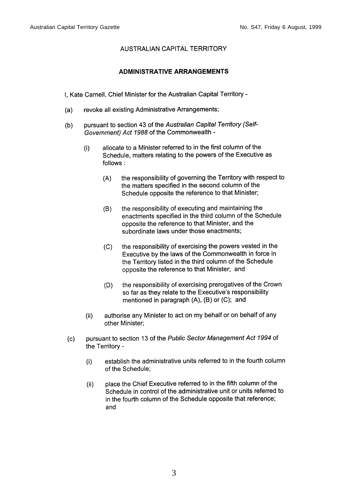#### **AUSTRALIAN CAPITAL TERRITORY**

#### **ADMINISTRATIVE ARRANGEMENTS**

I, Kate Carnell, Chief Minister for the Australian Capital Territory -

- revoke all existing Administrative Arrangements;  $(a)$
- pursuant to section 43 of the Australian Capital Territory (Self- $(b)$ Government) Act 1988 of the Commonwealth
	- allocate to a Minister referred to in the first column of the  $(i)$ Schedule, matters relating to the powers of the Executive as follows:
		- the responsibility of governing the Territory with respect to  $(A)$ the matters specified in the second column of the Schedule opposite the reference to that Minister;
		- the responsibility of executing and maintaining the  $(B)$ enactments specified in the third column of the Schedule opposite the reference to that Minister, and the subordinate laws under those enactments;
		- the responsibility of exercising the powers vested in the  $(C)$ Executive by the laws of the Commonwealth in force in the Territory listed in the third column of the Schedule opposite the reference to that Minister; and
		- $(D)$ the responsibility of exercising prerogatives of the Crown so far as they relate to the Executive's responsibility mentioned in paragraph  $(A)$ ,  $(B)$  or  $(C)$ ; and
	- authorise any Minister to act on my behalf or on behalf of any  $(ii)$ other Minister:
- pursuant to section 13 of the Public Sector Management Act 1994 of  $(c)$ the Territory
	- establish the administrative units referred to in the fourth column  $(i)$ of the Schedule;
	- place the Chief Executive referred to in the fifth column of the  $(ii)$ Schedule in control of the administrative unit or units referred to in the fourth column of the Schedule opposite that reference; and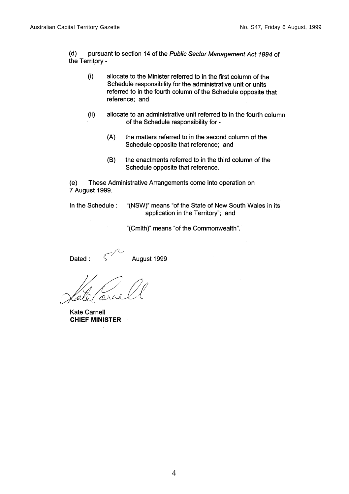$(d)$ pursuant to section 14 of the Public Sector Management Act 1994 of the Territory -

- $(i)$ allocate to the Minister referred to in the first column of the Schedule responsibility for the administrative unit or units referred to in the fourth column of the Schedule opposite that reference; and
- $(ii)$ allocate to an administrative unit referred to in the fourth column of the Schedule responsibility for -
	- $(A)$ the matters referred to in the second column of the Schedule opposite that reference; and
	- $(B)$ the enactments referred to in the third column of the Schedule opposite that reference.

 $(e)$ These Administrative Arrangements come into operation on 7 August 1999.

In the Schedule:

"(NSW)" means "of the State of New South Wales in its application in the Territory"; and

"(Cmlth)" means "of the Commonwealth".

Dated:

August 1999

Kate Carnell **CHIEF MINISTER**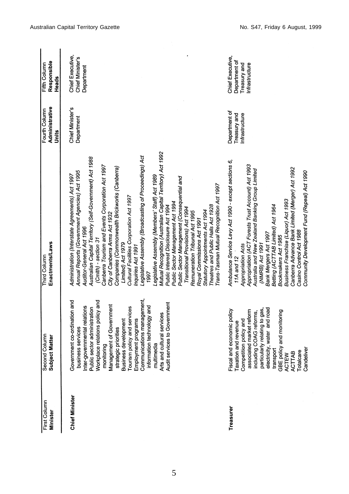| First Column<br><b>Minister</b> | Second Column<br>Subject Matter                                                                                                                                                                                                                                                                                                                                                                                                                             | Enactments/Laws<br>Third Column                                                                                                                                                                                                                                                                                                                                                                                                                                                                                                                                                                                                                                                                                                                                                                                                                                                                                                                                                      | Administrative<br>Fourth Column<br>Units        | Responsible<br>Fifth Column<br>Heads                                |
|---------------------------------|-------------------------------------------------------------------------------------------------------------------------------------------------------------------------------------------------------------------------------------------------------------------------------------------------------------------------------------------------------------------------------------------------------------------------------------------------------------|--------------------------------------------------------------------------------------------------------------------------------------------------------------------------------------------------------------------------------------------------------------------------------------------------------------------------------------------------------------------------------------------------------------------------------------------------------------------------------------------------------------------------------------------------------------------------------------------------------------------------------------------------------------------------------------------------------------------------------------------------------------------------------------------------------------------------------------------------------------------------------------------------------------------------------------------------------------------------------------|-------------------------------------------------|---------------------------------------------------------------------|
| Chief Minister                  | Communications management,<br>Government co-ordination and<br>Workplace relations policy and<br>services to Government<br>Management of Government<br>Inter-governmental relations<br>information technology and<br>Tourism policy and services<br>Public sector administration<br>Arts and cultural services<br>Employment programs<br><b>Business development</b><br>business services<br>strategic priorities<br>multimedia<br>monitoring<br><b>Audi</b> | Mutual Recognition (Australian Capital Territory) Act 1992<br>Legislative Assembly (Broadcasting of Proceedings) Act<br>Australian Capital Territory (Self-Government) Act 1988<br>Canberra Tourism and Events Corporation Act 1997<br>Companies (Commonwealth Brickworks (Canberra)<br>Annual Reports (Government Agencies) Act 1995<br>Administration (Interstate Agreements) Act 1997<br>Legislative Assembly (Members' Staff) Act 1989<br>Public Sector Management (Consequential and<br>Trans-Tasman Mutual Recognition Act 1997<br>Cultural Facilities Corporation Act 1997<br>Public Sector Management Act 1994<br>Theatres and Public Halls Act 1928<br>Public Interest Disclosure Act 1994<br>Transitional Provisions) Act 1994<br>Statutory Appointments Act 1994<br>Remuneration Tribunal Act 1995<br>City of Canberra Arms Act 1932<br>Royal Commissions Act 1991<br>Auditor-General Act 1996<br>(Cmlth) - section 31<br>Limited) Act 1979<br>Inquiries Act 1991<br>1997 | Chief Minister's<br>Department                  | Chief Executive,<br>Chief Minister's<br>Department                  |
| Treasurer                       | electricity, water and road<br>particularly relating to gas,<br>Fiscal and economic policy<br>associated market reform<br>GBE policy and monitoring<br>including COAG reforms,<br>Competition policy and<br>Taxation and revenue<br>transport<br>leliver<br>Icare<br><b>TAB</b><br>ا<br>آ<br>Cand<br>Total<br>ACTE<br>ACT                                                                                                                                   | Ambulance Service Levy Act 1990 - except sections 6,<br>Appropriation (ACT Forests Trust Account) Act 1993<br>Canberra Advance Bank Limited (Merger) Act 1992<br>Australia and New Zealand Banking Group Limited<br>Community Development Fund (Repeal) Act 1990<br>Business Franchise (Liquor) Act 1993<br>Betting (ACTTAB Limited) Act 1964<br>Casino Control Act 1988<br>Bank Mergers Act 1997<br>Bookmakers Act 1985<br>(NMRB) Act 1991<br>Appropriation Acts<br>11A and 12                                                                                                                                                                                                                                                                                                                                                                                                                                                                                                      | Department of<br>Treasury and<br>Infrastructure | Chief Executive,<br>Department of<br>Treasury and<br>Infrastructure |

5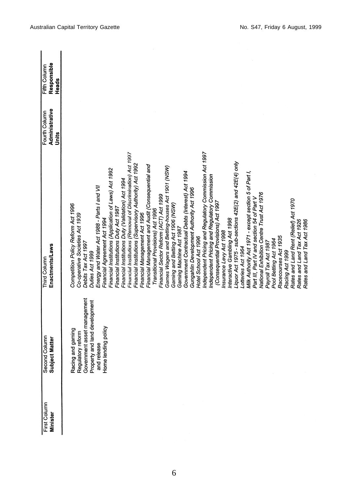| First Column | Second Column<br>Subject Matter | Third Column                                                                         | Fourth Column           | Fifth Column         |
|--------------|---------------------------------|--------------------------------------------------------------------------------------|-------------------------|----------------------|
| Minister     |                                 | Enactments/Laws                                                                      | Administrative<br>Units | Responsible<br>Heads |
|              |                                 |                                                                                      |                         |                      |
|              | ng and gaming<br>Racin          | Competition Policy Reform Act 1996                                                   |                         |                      |
|              | latory reform<br>Regul          | Co-operative Societies Act 1939                                                      |                         |                      |
|              | Government asset management     | Debits Tax Act 1997                                                                  |                         |                      |
|              | Property and land development   | Duties Act 1999                                                                      |                         |                      |
|              | and release                     | Energy and Water Act 1988 - Parts I and VII                                          |                         |                      |
|              | Home lending policy             | Financial Agreement Act 1994                                                         |                         |                      |
|              |                                 | Financial Institutions (Application of Laws) Act 1992                                |                         |                      |
|              |                                 | Financial Institutions Duty Act 1987                                                 |                         |                      |
|              |                                 | Financial Institutions Duty (Validation) Act 1994                                    |                         |                      |
|              |                                 | Financial Institutions (Removal of Discrimination) Act 1997                          |                         |                      |
|              |                                 | Financial Institutions (Supervisory Authority) Act 1992                              |                         |                      |
|              |                                 | Financial Management Act 1996                                                        |                         |                      |
|              |                                 | Financial Management and Audit (Consequential and                                    |                         |                      |
|              |                                 | Transitional Provisions) Act 1996                                                    |                         |                      |
|              |                                 | Financial Sector Reform (ACT) Act 1999                                               |                         |                      |
|              |                                 | Games Wagers and Betting-houses Act 1901 (NSW)                                       |                         |                      |
|              |                                 | Gaming and Betting Act 1906 (NSW)                                                    |                         |                      |
|              |                                 | Gaming Machine Act 1987                                                              |                         |                      |
|              |                                 | Government Contractual Debts (Interest) Act 1994                                     |                         |                      |
|              |                                 |                                                                                      |                         |                      |
|              |                                 | Gungahlin Development Authority Act 1996                                             |                         |                      |
|              |                                 | Hotel School Act 1996                                                                |                         |                      |
|              |                                 | Independent Pricing and Regulatory Commission Act 1997                               |                         |                      |
|              |                                 |                                                                                      |                         |                      |
|              |                                 | Independent Pricing and Regulatory Commission<br>(Consequential Provisions) Act 1997 |                         |                      |
|              |                                 | Insurance Levy Act 1998                                                              |                         |                      |
|              |                                 | Interactive Gambling Act 1998                                                        |                         |                      |
|              |                                 | Liquor Act 1975 - sub-sections 42E(2) and 42E(4) only                                |                         |                      |
|              |                                 | Lotteries Act 1964                                                                   |                         |                      |
|              |                                 | Milk Authority Act 1971 - except section 5 of Part I,                                |                         |                      |
|              |                                 | Part III, Part IV and section 54 of Part V                                           |                         |                      |
|              |                                 | Vational Exhibition Centre Trust Act 1976                                            |                         |                      |
|              |                                 | Payroll Tax Act 1987                                                                 |                         |                      |
|              |                                 | Pool Betting Act 1964                                                                |                         |                      |
|              |                                 | Racecourses Act 1935                                                                 |                         |                      |
|              |                                 | Racing Act 1999                                                                      |                         |                      |
|              |                                 | Rates and Land Rent (Relief) Act 1970                                                |                         |                      |
|              |                                 | Rates and Land Tax Act 1926                                                          |                         |                      |
|              |                                 | Rates and Land Tax Act 1986                                                          |                         |                      |
|              |                                 |                                                                                      |                         |                      |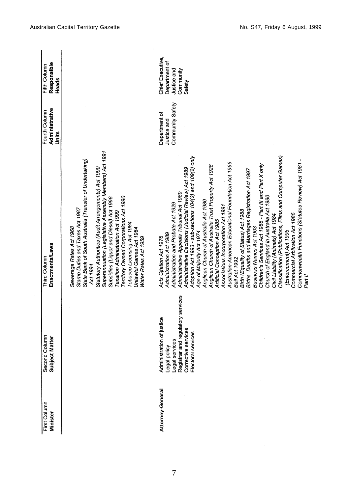| First Column<br><b>Minister</b> | Second Column<br><b>Subject Matter</b>                                                                                                        | Enactments/Laws<br>Third Column                                                                                                                                                                                                                                                                                                                                                                                                                                                                                                                                                                                                                                                                                                                                                                                                                                                                                                                                                                    | Administrative<br>Fourth Column<br>Units         | Responsible<br>Fifth Column<br>Heads                                    |
|---------------------------------|-----------------------------------------------------------------------------------------------------------------------------------------------|----------------------------------------------------------------------------------------------------------------------------------------------------------------------------------------------------------------------------------------------------------------------------------------------------------------------------------------------------------------------------------------------------------------------------------------------------------------------------------------------------------------------------------------------------------------------------------------------------------------------------------------------------------------------------------------------------------------------------------------------------------------------------------------------------------------------------------------------------------------------------------------------------------------------------------------------------------------------------------------------------|--------------------------------------------------|-------------------------------------------------------------------------|
|                                 |                                                                                                                                               | Superannuation (Legislative Assembly Members) Act 1991<br>State Bank of South Australia (Transfer of Undertaking)<br>Statutory Authorities (Audit Arrangements) Act 1990<br><b>Territory Owned Corporations Act 1990</b><br>Subsidies (Liquor and Diesel) Act 1998<br>Stamp Duties and Taxes Act 1987<br>Taxation Administration Act 1999<br>Tobacco Licensing Act 1984<br>Sewerage Rates Act 1968<br>Unlawful Games Act 1984<br>Water Rates Act 1959<br>Act 1994                                                                                                                                                                                                                                                                                                                                                                                                                                                                                                                                  |                                                  |                                                                         |
| Attorney-General                | Registrar and regulatory services<br>Administration of justice<br>Corrective services<br>Electoral services<br>Legal services<br>Legal policy | Adoption Act 1993 - sub-sections 104(2) and 109(2) only<br>Classification (Publications, Films and Computer Games)<br>Commonwealth Functions (Statutes Review) Act 1981 -<br>Australian-American Educational Foundation Act 1966<br>Children's Services Act 1986 - Part III and Part X only<br>Anglican Church of Australia Trust Property Act 1928<br>Administrative Decisions (Judicial Review) Act 1989<br>Births, Deaths and Marriages Registration Act 1997<br>Administrative Appeals Tribunal Act 1989<br>Church of England in Australia Act 1980<br>Anglican Church of Australia Act 1980<br>Administration and Probate Act 1929<br>Associations Incorporation Act 1991<br>Birth (Equality of Status) Act 1988<br>Commercial Arbitration Act 1986<br>Civil Liability (Animals) Act 1984<br>Artificial Conception Act 1985<br>Business Names Act 1963<br>(Enforcement) Act 1995<br>Age of Majority Act 1974<br>Administration Act 1989<br>Acts Citation Act 1976<br>Bail Act 1992<br>Part II | Community Safety<br>Department of<br>Justice and | Chief Executive,<br>Department of<br>Justice and<br>Community<br>Safety |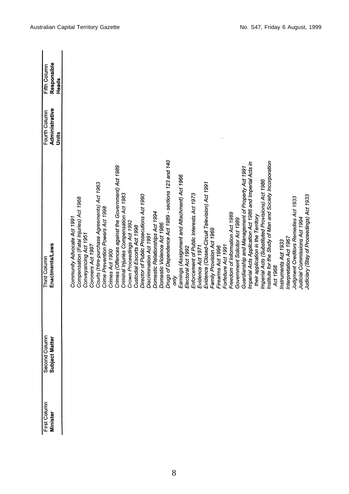| First Column<br>Minister | Second Column<br>Subject Matter | Enactments/Laws<br>Third Column                               | Administrative<br>Fourth Column | Responsible<br>Fifth Column |
|--------------------------|---------------------------------|---------------------------------------------------------------|---------------------------------|-----------------------------|
|                          |                                 |                                                               | Units                           | Heads                       |
|                          |                                 | Community Advocate Act 1991                                   |                                 |                             |
|                          |                                 | Compensation (Fatal Injuries) Act 1968                        |                                 |                             |
|                          |                                 | Conveyancing Act 1951                                         |                                 |                             |
|                          |                                 | Coroners Act 1997                                             |                                 |                             |
|                          |                                 | Courts (Hire-purchase Agreements) Act 1963                    |                                 |                             |
|                          |                                 | Crime Prevention Powers Act 1998                              |                                 |                             |
|                          |                                 | Crimes Act 1900                                               |                                 |                             |
|                          |                                 | Crimes (Offences against the Government) Act 1989             |                                 |                             |
|                          |                                 | Criminal Injuries Compensation Act 1983                       |                                 |                             |
|                          |                                 | Crown Proceedings Act 1992                                    |                                 |                             |
|                          |                                 | Custodial Escorts Act 1998                                    |                                 |                             |
|                          |                                 | Director of Public Prosecutions Act 1990                      |                                 |                             |
|                          |                                 | Discrimination Act 1991                                       |                                 |                             |
|                          |                                 | Domestic Relationships Act 1994                               |                                 |                             |
|                          |                                 | Domestic Violence Act 1986                                    |                                 |                             |
|                          |                                 | Drugs of Dependence Act 1989 - sections 123 and 140           |                                 |                             |
|                          |                                 | δÑ                                                            |                                 |                             |
|                          |                                 | Earnings (Assignment and Attachment) Act 1966                 |                                 |                             |
|                          |                                 | Electoral Act 1992                                            |                                 |                             |
|                          |                                 | Enforcement of Public Interests Act 1973<br>Evidence Act 1971 |                                 |                             |
|                          |                                 |                                                               |                                 |                             |
|                          |                                 | Evidence (Closed-Circuit Television) Act 1991                 |                                 |                             |
|                          |                                 | Family Provision Act 1969                                     |                                 |                             |
|                          |                                 | Firearms Act 1996                                             |                                 |                             |
|                          |                                 | Forfeiture Act 1991                                           |                                 |                             |
|                          |                                 | Freedom of Information Act 1989                               |                                 |                             |
|                          |                                 | Government Solicitor Act 1989                                 |                                 |                             |
|                          |                                 | Guardianship and Management of Property Act 1991              |                                 |                             |
|                          |                                 | Imperial Acts Application Act 1986 and Imperial Acts in       |                                 |                             |
|                          |                                 | their application in the Territory                            |                                 |                             |
|                          |                                 | Imperial Acts (Substituted Provisions) Act 1986               |                                 |                             |
|                          |                                 | Institute for the Study of Man and Society Incorporation      |                                 |                             |
|                          |                                 | Act 1968                                                      |                                 |                             |
|                          |                                 | Instruments Act 1933                                          |                                 |                             |
|                          |                                 | Interpretation Act 1967                                       |                                 |                             |
|                          |                                 | Judgment Creditors Remedies Act 1933                          |                                 |                             |
|                          |                                 | Judicial Commissions Act 1994                                 |                                 |                             |
|                          |                                 | Judiciary (Stay of Proceedings) Act 1933                      |                                 |                             |
|                          |                                 |                                                               |                                 |                             |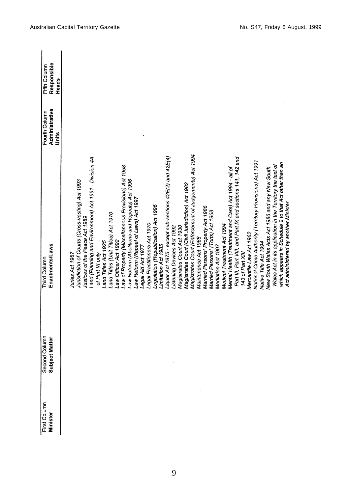| First Column<br><b>Minister</b> | Second Column<br>Subject Matter | Enactments/Laws<br>Third Column                            | Administrative<br>Fourth Column<br>Units | Responsible<br>Fifth Column<br>Heads |
|---------------------------------|---------------------------------|------------------------------------------------------------|------------------------------------------|--------------------------------------|
|                                 |                                 | Juries Act 1967                                            |                                          |                                      |
|                                 |                                 | Jurisdiction of Courts (Cross-vesting) Act 1993            |                                          |                                      |
|                                 |                                 | Justices of the Peace Act 1989                             |                                          |                                      |
|                                 |                                 | Land (Planning and Environment) Act 1991 - Division 4A     |                                          |                                      |
|                                 |                                 | of Part VI only                                            |                                          |                                      |
|                                 |                                 | Land Titles Act 1925                                       |                                          |                                      |
|                                 |                                 | Land Titles (Unit Titles) Act 1970<br>aw Officer Act 1992  |                                          |                                      |
|                                 |                                 | aw of Property (Miscellaneous Provisions) Act 1958         |                                          |                                      |
|                                 |                                 | aw Reform (Abolitions and Repeals) Act 1996                |                                          |                                      |
|                                 |                                 | aw Reform (Repeal of Laws) Act 1997                        |                                          |                                      |
|                                 |                                 | Legal Aid Act 1977                                         |                                          |                                      |
|                                 |                                 | Legal Practitioners Act 1970                               |                                          |                                      |
|                                 |                                 | Legislation (Republication) Act 1996                       |                                          |                                      |
|                                 |                                 | Limitation Act 1985                                        |                                          |                                      |
|                                 |                                 | Liquor Act 1975 - except sub-sections 42E(2) and 42E(4)    |                                          |                                      |
|                                 |                                 | Listening Devices Act 1992                                 |                                          |                                      |
|                                 |                                 | Magistrates Court Act 1930                                 |                                          |                                      |
|                                 |                                 | Magistrates Court (Civil Jurisdiction) Act 1982            |                                          |                                      |
|                                 |                                 | Magistrates Court (Enforcement of Judgements) Act 1994     |                                          |                                      |
|                                 |                                 | Maintenance Act 1968                                       |                                          |                                      |
|                                 |                                 | Married Persons' Property Act 1986                         |                                          |                                      |
|                                 |                                 | Married Persons' (Torts) Act 1968                          |                                          |                                      |
|                                 |                                 | Mediation Act 1997                                         |                                          |                                      |
|                                 |                                 | Medical Treatment Act 1994                                 |                                          |                                      |
|                                 |                                 | Mental Health (Treatment and Care) Act 1994 - all of       |                                          |                                      |
|                                 |                                 | Part III, Part VIII, and Part IX and sections 141, 142 and |                                          |                                      |
|                                 |                                 | 143 of Part XIII                                           |                                          |                                      |
|                                 |                                 | Mercantile Law Act 1962                                    |                                          |                                      |
|                                 |                                 | National Crime Authority (Territory Provisions) Act 1991   |                                          |                                      |
|                                 |                                 | Native Title Act 1994                                      |                                          |                                      |
|                                 |                                 | New South Wales Acts Act 1986 and any New South            |                                          |                                      |
|                                 |                                 | Wales Act in its application in the Territory the text of  |                                          |                                      |
|                                 |                                 | which appears in Schedule 2 to that Act other than an      |                                          |                                      |
|                                 |                                 | Act administered by another Minister                       |                                          |                                      |
|                                 |                                 |                                                            |                                          |                                      |
|                                 |                                 |                                                            |                                          |                                      |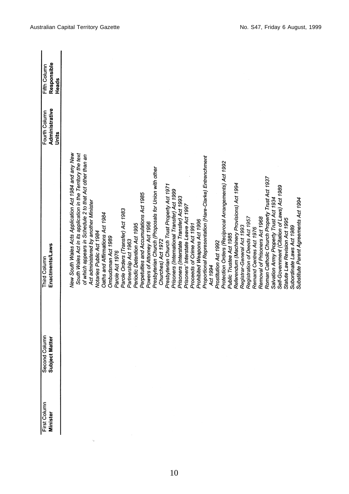| First Column<br><b>Minister</b> | Second Column<br>Subject Matter | Enactments/Laws<br>Third Column                              | Administrative<br>Fourth Column | Responsible<br>Fifth Column |
|---------------------------------|---------------------------------|--------------------------------------------------------------|---------------------------------|-----------------------------|
|                                 |                                 |                                                              | Units                           | <b>Heads</b>                |
|                                 |                                 | New South Wales Acts Application Act 1984 and any New        |                                 |                             |
|                                 |                                 | South Wales Act in its application in the Territory the text |                                 |                             |
|                                 |                                 | of which appears in Schedule 2 to that Act other than an     |                                 |                             |
|                                 |                                 | Act administered by another Minister                         |                                 |                             |
|                                 |                                 | Notaries Public Act 1984                                     |                                 |                             |
|                                 |                                 | Oaths and Affirmations Act 1984                              |                                 |                             |
|                                 |                                 | Ombudsman Act 1989                                           |                                 |                             |
|                                 |                                 | Parole Act 1976                                              |                                 |                             |
|                                 |                                 | Parole Orders (Transfer) Act 1983                            |                                 |                             |
|                                 |                                 | Partnership Act 1963                                         |                                 |                             |
|                                 |                                 | Periodic Detention Act 1995                                  |                                 |                             |
|                                 |                                 | Perpetuities and Accumulations Act 1985                      |                                 |                             |
|                                 |                                 | Powers of Attorney Act 1956                                  |                                 |                             |
|                                 |                                 | Presbyterian Church (Proposals for Union with other          |                                 |                             |
|                                 |                                 | Churches) Act 1972                                           |                                 |                             |
|                                 |                                 | Presbyterian Church Trust Property Act 1971                  |                                 |                             |
|                                 |                                 | Prisoners (International Transfer) Act 1999                  |                                 |                             |
|                                 |                                 | Prisoners (Interstate Transfer) Act 1993                     |                                 |                             |
|                                 |                                 | Prisoners' Interstate Leave Act 1997                         |                                 |                             |
|                                 |                                 | Proceeds of Crime Act 1991                                   |                                 |                             |
|                                 |                                 |                                                              |                                 |                             |
|                                 |                                 | Prohibited Weapons Act 1996                                  |                                 |                             |
|                                 |                                 | Proportional Representation (Hare-Clarke) Entrenchment       |                                 |                             |
|                                 |                                 | Act 1994                                                     |                                 |                             |
|                                 |                                 | Prostitution Act 1992                                        |                                 |                             |
|                                 |                                 | Protection Orders (Reciprocal Arrangements) Act 1992         |                                 |                             |
|                                 |                                 | Public Trustee Act 1985                                      |                                 |                             |
|                                 |                                 | Referendum (Machinery Provisions) Act 1994                   |                                 |                             |
|                                 |                                 | Registrar-General Act 1993                                   |                                 |                             |
|                                 |                                 | Registration of Deeds Act 1957                               |                                 |                             |
|                                 |                                 | Remand Centres Act 1976                                      |                                 |                             |
|                                 |                                 | Removal of Prisoners Act 1968                                |                                 |                             |
|                                 |                                 | Roman Catholic Church Property Trust Act 1937                |                                 |                             |
|                                 |                                 | Salvation Army Property Trust Act 1934                       |                                 |                             |
|                                 |                                 | Self-Government (Citation of Laws) Act 1989                  |                                 |                             |
|                                 |                                 | Statute Law Revision Act 1995                                |                                 |                             |
|                                 |                                 | Subordinate Laws Act 1989                                    |                                 |                             |
|                                 |                                 | Substitute Parent Agreements Act 1994                        |                                 |                             |
|                                 |                                 |                                                              |                                 |                             |

 $\sim$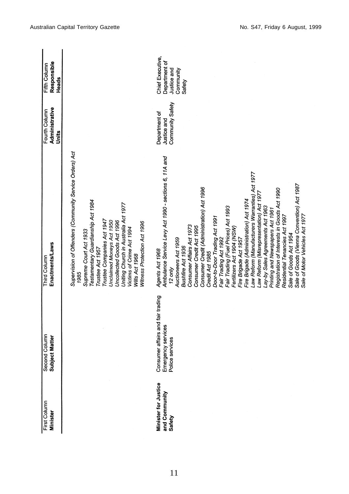| First Column<br><b>Minister</b>                 | Second Column<br>Subject Matter                                            | Enactments/Laws<br>Third Column                                                                                                                                                                                                                                                                                                                                                                                                                                                                                                                                                                                                                                                                                                                                                                                               | Administrative<br>Fourth Column<br>Units         | Responsible<br>Fifth Column<br>Heads                                    |
|-------------------------------------------------|----------------------------------------------------------------------------|-------------------------------------------------------------------------------------------------------------------------------------------------------------------------------------------------------------------------------------------------------------------------------------------------------------------------------------------------------------------------------------------------------------------------------------------------------------------------------------------------------------------------------------------------------------------------------------------------------------------------------------------------------------------------------------------------------------------------------------------------------------------------------------------------------------------------------|--------------------------------------------------|-------------------------------------------------------------------------|
|                                                 |                                                                            | Supervision of Offenders (Community Service Orders) Act<br>Testamentary Guardianship Act 1984<br>Uniting Church in Australia Act 1977<br>Trustee Companies Act 1947<br>Unclaimed Moneys Act 1950<br>Uncollected Goods Act 1996<br>Witness Protection Act 1996<br>Victims of Crime Act 1994<br>Supreme Court Act 1933<br>Trustee Act 1957<br>Wills Act 1968<br>1985                                                                                                                                                                                                                                                                                                                                                                                                                                                            |                                                  |                                                                         |
| Minister for Justice<br>and Community<br>Safety | Consumer affairs and fair trading<br>Emergency services<br>Police services | Ambulance Service Levy Act 1990 - sections 6, 11A and<br>Law Reform (Manufacturers Warranties) Act 1977<br>Sale of Goods (Vienna Convention) Act 1987<br>Consumer Credit (Administration) Act 1996<br>Registration of Interests in Goods Act 1990<br>aw Reform (Misrepresentation) Act 1977<br>Fire Brigade (Administration) Act 1974<br>Lay-by Sales Agreements Act 1963<br>Fair Trading (Fuel Prices) Act 1993<br>Printing and Newspapers Act 1961<br>Residential Tenancies Act 1997<br>Sale of Motor Vehicles Act 1977<br>Door-to-Door Trading Act 1991<br>Consumer Affairs Act 1973<br>Consumer Credit Act 1995<br>Fertilizers Act 1904 (NSW)<br>Sale of Goods Act 1954<br>Fair Trading Act 1992<br>Fire Brigade Act 1957<br>Auctioneers Act 1959<br>Bushfire Act 1936<br>Agents Act 1968<br>Credit Act 1985<br>$12$ only | Community Safety<br>Department of<br>Justice and | Chief Executive,<br>Department of<br>Justice and<br>Community<br>Safety |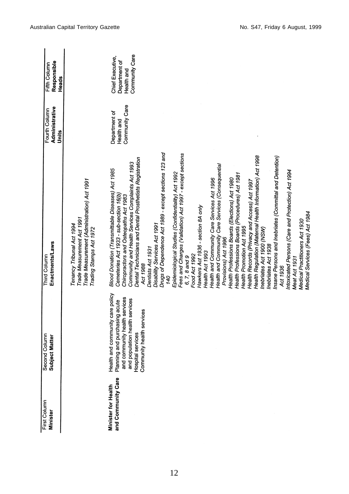| First Column<br><b>Minister</b>                  | Second Column<br>Subject Matter                                | Enactments/Laws<br>Third Column                                                                                | Administrative<br>Fourth Column | Responsible<br>Fifth Column |
|--------------------------------------------------|----------------------------------------------------------------|----------------------------------------------------------------------------------------------------------------|---------------------------------|-----------------------------|
|                                                  |                                                                |                                                                                                                | Units                           | Heads                       |
|                                                  |                                                                | Trade Measurement (Administration) Act 1991<br>Trade Measurement Act 1991<br>Tenancy Tribunal Act 1994         |                                 |                             |
|                                                  |                                                                | Trading Stamps Act 1972                                                                                        |                                 |                             |
| and Community Care<br><b>Minister for Health</b> | Health and community care policy                               | Blood Donation (Transmittable Diseases) Act 1985                                                               | Department of                   | Chief Executive,            |
|                                                  | and community health services<br>Planning and purchasing acute | Cemeteries Act 1933 - sub-section 16(b)<br>Chiropractors and Osteopaths Act 1983                               | Community Care<br>Health and    | Department of<br>Health and |
|                                                  | and population health services<br>Hospital services            | Dental Technicians and Dental Prosthetists Registration<br>Community and Health Services Complaints Act 1993   |                                 | Community Care              |
|                                                  | Community health services                                      | Act 1988                                                                                                       |                                 |                             |
|                                                  |                                                                | Dentists Act 1931                                                                                              |                                 |                             |
|                                                  |                                                                | Drugs of Dependence Act 1989 - except sections 123 and<br>Disability Services Act 1991                         |                                 |                             |
|                                                  |                                                                | 140                                                                                                            |                                 |                             |
|                                                  |                                                                | Fees and Charges (Validation) Act 1997 - except sections<br>Epidemiological Studies (Confidentiality) Act 1992 |                                 |                             |
|                                                  |                                                                | $6, 7, 8$ and $9$                                                                                              |                                 |                             |
|                                                  |                                                                | Food Act 1992                                                                                                  |                                 |                             |
|                                                  |                                                                | Hawkers Act 1936 - section 8A only                                                                             |                                 |                             |
|                                                  |                                                                | Health Act 1993                                                                                                |                                 |                             |
|                                                  |                                                                | Health and Community Care Services Act 1996                                                                    |                                 |                             |
|                                                  |                                                                | Health and Community Care Services (Consequential                                                              |                                 |                             |
|                                                  |                                                                | Provisions) Act 1996                                                                                           |                                 |                             |
|                                                  |                                                                | Health Professions Boards (Elections) Act 1980                                                                 |                                 |                             |
|                                                  |                                                                | Health Professions Boards (Procedures) Act 1981<br>Health Promotion Act 1995                                   |                                 |                             |
|                                                  |                                                                | Health Records (Privacy and Access) Act 1997                                                                   |                                 |                             |
|                                                  |                                                                | Health Regulation (Maternal Health Information) Act 1998                                                       |                                 |                             |
|                                                  |                                                                | Inebriates Act 1900 (NSW)                                                                                      |                                 |                             |
|                                                  |                                                                | Inebriates Act 1938                                                                                            |                                 |                             |
|                                                  |                                                                | Insane Persons and Inebriates (Committal and Detention)                                                        |                                 |                             |
|                                                  |                                                                | Act 1936                                                                                                       |                                 |                             |
|                                                  |                                                                | Intoxicated Persons (Care and Protection) Act 1994                                                             |                                 |                             |
|                                                  |                                                                | Meat Act 1931                                                                                                  |                                 |                             |
|                                                  |                                                                | Medical Practitioners Act 1930                                                                                 |                                 |                             |
|                                                  |                                                                | Medical Services (Fees) Act 1984                                                                               |                                 |                             |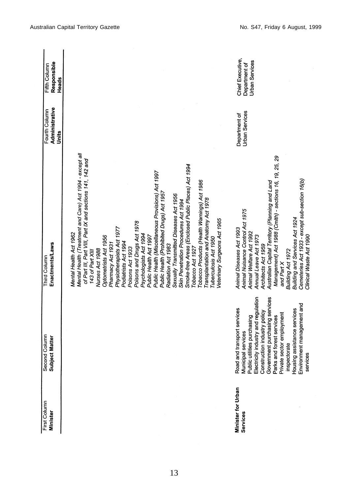| First Column<br><b>Minister</b> | Second Column<br>Subject Matter                                                                                                                                                                                                                                                                                                                       | <b>Enactments/Laws</b><br>Third Column                                                                                                                                                                                                                                                                                                                                                                                                                                                                                                                                                                                                                                                                                                                                                                                              | Administrative<br>Fourth Column<br>Units | Responsible<br>Fifth Column<br>Heads                       |
|---------------------------------|-------------------------------------------------------------------------------------------------------------------------------------------------------------------------------------------------------------------------------------------------------------------------------------------------------------------------------------------------------|-------------------------------------------------------------------------------------------------------------------------------------------------------------------------------------------------------------------------------------------------------------------------------------------------------------------------------------------------------------------------------------------------------------------------------------------------------------------------------------------------------------------------------------------------------------------------------------------------------------------------------------------------------------------------------------------------------------------------------------------------------------------------------------------------------------------------------------|------------------------------------------|------------------------------------------------------------|
|                                 |                                                                                                                                                                                                                                                                                                                                                       | Mental Health (Treatment and Care) Act 1994 - except all<br>of Part III, Part VIII, Part IX and sections 141, 142 and<br>Smoke-free Areas (Enclosed Public Places) Act 1994<br>Public Health (Miscellaneous Provisions) Act 1997<br>Tobacco Products (Health Warnings) Act 1986<br>Public Health (Prohibited Drugs) Act 1957<br>Sexually Transmitted Diseases Act 1956<br>Transplantation and Anatomy Act 1978<br>Skin Penetration Procedures Act 1994<br>Veterinary Surgeons Act 1965<br>Poisons and Drugs Act 1978<br>Physiotherapists Act 1977<br>Mental Health Act 1962<br>Psychologists Act 1994<br>Optometrists Act 1956<br>Public Health Act 1997<br>Tuberculosis Act 1950<br>Podiatrists Act 1994<br>Pharmacy Act 1931<br>Radiation Act 1983<br>Tobacco Act 1927<br>Poisons Act 1933<br>Nurses Act 1988<br>143 of Part XIII |                                          |                                                            |
| Minister for Urban<br>Services  | Government purchasing services<br>Electricity industry and regulation<br>Environment management and<br>Road and transport services<br>ing assistance services<br>Construction industry policy<br>Private sector employment<br>Public utilities purchasing<br>and forest services<br>Municipal services<br>inspectorate<br>services<br>Parks<br>Housir | Management) Act 1988 (Cmlth) - sections 16, 19, 25, 29<br>Cemeteries Act 1933 - except sub-section 16(b)<br>Australian Capital Territory (Planning and Land<br>Animal Nuisance Control Act 1975<br>Building and Services Act 1924<br>Animal Diseases Act 1993<br>Animal Welfare Act 1992<br>Clinical Waste Act 1990<br>Annual Leave Act 1973<br>Architects Act 1959<br>Building Act 1972<br>and Part X                                                                                                                                                                                                                                                                                                                                                                                                                              | <b>Urban Services</b><br>Department of   | Chief Executive,<br><b>Urban Services</b><br>Department of |

Australian Capital Territory Gazette **No. 347, Friday 6 August, 1999** 

13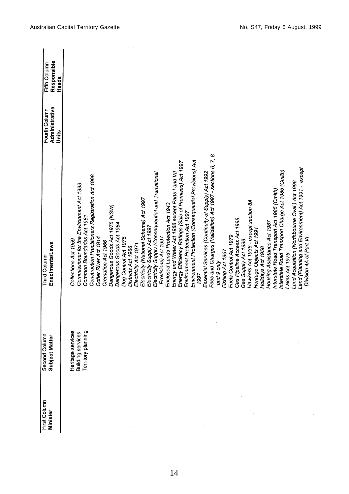| First Column<br><b>Minister</b> | Second Column<br>Subject Matter                              | Enactments/Laws<br><b>Third Column</b>                    | Administrative<br>Fourth Column<br>Units | Responsible<br>Fifth Column<br>Heads |
|---------------------------------|--------------------------------------------------------------|-----------------------------------------------------------|------------------------------------------|--------------------------------------|
|                                 |                                                              |                                                           |                                          |                                      |
|                                 |                                                              | Collections Act 1959                                      |                                          |                                      |
|                                 | Heritage services<br>Building services<br>Territory planning | Commissioner for the Environment Act 1993                 |                                          |                                      |
|                                 |                                                              | Common Boundaries Act 1981                                |                                          |                                      |
|                                 |                                                              | Construction Practitioners Registration Act 1998          |                                          |                                      |
|                                 |                                                              | Cotter River Act 1914                                     |                                          |                                      |
|                                 |                                                              | Cremation Act 1966                                        |                                          |                                      |
|                                 |                                                              | Dangerous Goods Act 1975 (NSW)                            |                                          |                                      |
|                                 |                                                              | Dangerous Goods Act 1984                                  |                                          |                                      |
|                                 |                                                              | Dog Control Act 1975                                      |                                          |                                      |
|                                 |                                                              | Districts Act 1966                                        |                                          |                                      |
|                                 |                                                              | Electricity Act 1971                                      |                                          |                                      |
|                                 |                                                              | Electricity (National Scheme) Act 1997                    |                                          |                                      |
|                                 |                                                              | Electricity Supply Act 1997                               |                                          |                                      |
|                                 |                                                              | Electricity Supply (Consequential and Transitional        |                                          |                                      |
|                                 |                                                              | Provisions) Act 1997                                      |                                          |                                      |
|                                 |                                                              | Enclosed Lands Protection Act 1943                        |                                          |                                      |
|                                 |                                                              | Energy and Water Act 1988 except Parts I and VII          |                                          |                                      |
|                                 |                                                              | Energy Efficiency Ratings (Sale of Premises) Act 1997     |                                          |                                      |
|                                 |                                                              | Environment Protection Act 1997                           |                                          |                                      |
|                                 |                                                              | Environment Protection (Consequential Provisions) Act     |                                          |                                      |
|                                 |                                                              | 1997                                                      |                                          |                                      |
|                                 |                                                              |                                                           |                                          |                                      |
|                                 |                                                              | Essential Services (Continuity of Supply) Act 1992        |                                          |                                      |
|                                 |                                                              | Fees and Charges (Validation) Act 1997 - sections 6, 7, 8 |                                          |                                      |
|                                 |                                                              | and 9 only                                                |                                          |                                      |
|                                 |                                                              | Fishing Act 1967                                          |                                          |                                      |
|                                 |                                                              | Fuels Control Act 1979                                    |                                          |                                      |
|                                 |                                                              | Gas Pipeline Access Act 1998                              |                                          |                                      |
|                                 |                                                              | Gas Supply Act 1998                                       |                                          |                                      |
|                                 |                                                              | Hawkers Act 1936 - except section 8A                      |                                          |                                      |
|                                 |                                                              | Heritage Objects Act 1991                                 |                                          |                                      |
|                                 |                                                              | Holidays Act 1958                                         |                                          |                                      |
|                                 |                                                              | Housing Assistance Act 1987                               |                                          |                                      |
|                                 |                                                              | Interstate Road Transport Act 1985 (Cmith)                |                                          |                                      |
|                                 |                                                              | Interstate Road Transport Charge Act 1985 (Cmlth)         |                                          |                                      |
|                                 |                                                              | Lakes Act 1976                                            |                                          |                                      |
|                                 |                                                              | Land Acquisition (Northbourne Oval) Act 1996              |                                          |                                      |
|                                 |                                                              | Land (Planning and Environment) Act 1991 - except         |                                          |                                      |
|                                 |                                                              | Division 4A of Part VI                                    |                                          |                                      |
|                                 |                                                              |                                                           |                                          |                                      |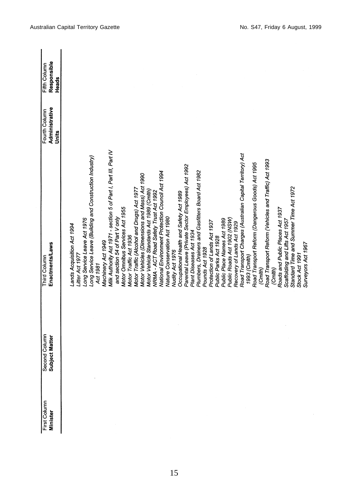| First Column<br>Minister | Second Column<br>Subject Matter | <b>Enactments/Laws</b><br>Third Column                           | Administrative<br>Fourth Column | Responsible<br>Fifth Column |
|--------------------------|---------------------------------|------------------------------------------------------------------|---------------------------------|-----------------------------|
|                          |                                 |                                                                  | Units                           | Heads                       |
|                          |                                 |                                                                  |                                 |                             |
|                          |                                 | ands Acquisition Act 1994                                        |                                 |                             |
|                          |                                 | Litter Act 1977                                                  |                                 |                             |
|                          |                                 | Long Service Leave Act 1976                                      |                                 |                             |
|                          |                                 | Long Service Leave (Building and Construction Industry)          |                                 |                             |
|                          |                                 | Act 1981                                                         |                                 |                             |
|                          |                                 | Machinery Act 1949                                               |                                 |                             |
|                          |                                 | Milk Authority Act 1971 - section 5 of Part I, Part III, Part IV |                                 |                             |
|                          |                                 | and section 54 of Part V only                                    |                                 |                             |
|                          |                                 | Motor Omnibus Services Act 1955                                  |                                 |                             |
|                          |                                 | Motor Traffic Act 1936                                           |                                 |                             |
|                          |                                 | Motor Traffic (Alcohol and Drugs) Act 1977                       |                                 |                             |
|                          |                                 | Motor Vehicles (Dimensions and Mass) Act 1990                    |                                 |                             |
|                          |                                 | Motor Vehicle Standards Act 1989 (Cmlth)                         |                                 |                             |
|                          |                                 | NRMA - ACT Road Safety Trust Act 1992                            |                                 |                             |
|                          |                                 | National Environment Protection Council Act 1994                 |                                 |                             |
|                          |                                 | Nature Conservation Act 1980                                     |                                 |                             |
|                          |                                 | Nudity Act 1976                                                  |                                 |                             |
|                          |                                 | Occupational Health and Safety Act 1989                          |                                 |                             |
|                          |                                 | Parental Leave (Private Sector Employees) Act 1992               |                                 |                             |
|                          |                                 | Plant Diseases Act 1934                                          |                                 |                             |
|                          |                                 | Plumbers, Drainers and Gasfitters Board Act 1982                 |                                 |                             |
|                          |                                 | Pounds Act 1928                                                  |                                 |                             |
|                          |                                 | Protection of Lands Act 1937                                     |                                 |                             |
|                          |                                 | Public Parks Act 1928                                            |                                 |                             |
|                          |                                 | Public Place Names Act 1989                                      |                                 |                             |
|                          |                                 | Public Roads Act 1902 (NSW)                                      |                                 |                             |
|                          |                                 | Recovery of Lands Act 1929                                       |                                 |                             |
|                          |                                 | Road Transport Charges (Australian Capital Territory) Act        |                                 |                             |
|                          |                                 | 1993 (Cmlth)                                                     |                                 |                             |
|                          |                                 | Road Transport Reform (Dangerous Goods) Act 1995                 |                                 |                             |
|                          |                                 | (Cmth)                                                           |                                 |                             |
|                          |                                 | Road Transport Reform (Vehicles and Traffic) Act 1993            |                                 |                             |
|                          |                                 | (Cmlth)                                                          |                                 |                             |
|                          |                                 | Roads and Public Places Act 1937                                 |                                 |                             |
|                          |                                 | Scaffolding and Lifts Act 1957                                   |                                 |                             |
|                          |                                 | Standard Time and Summer Time Act 1972                           |                                 |                             |
|                          |                                 | Stock Act 1991                                                   |                                 |                             |
|                          |                                 | Surveyors Act 1967                                               |                                 |                             |